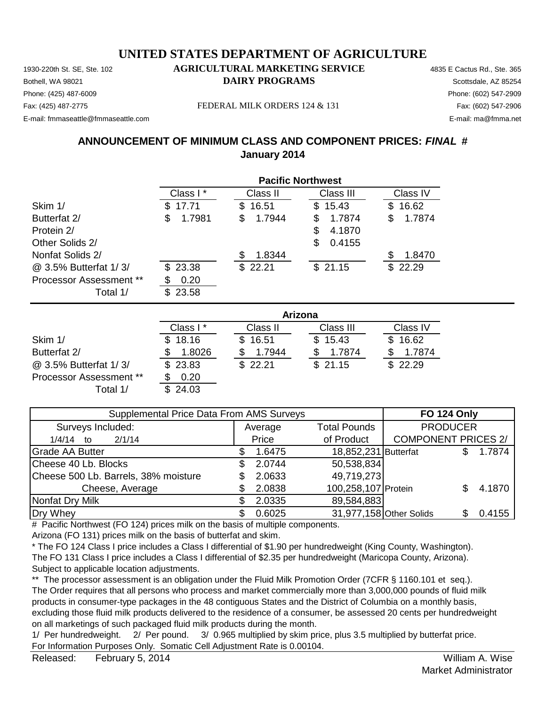Phone: (425) 487-6009 Phone: (602) 547-2909 E-mail: fmmaseattle@fmmaseattle.com E-mail: ma@fmma.net

Fax: (425) 487-2775 FEDERAL MILK ORDERS 124 & 131 Fax: (602) 547-2906

## **ANNOUNCEMENT OF MINIMUM CLASS AND COMPONENT PRICES:** *FINAL* **# January 2014**

|                                | <b>Pacific Northwest</b> |              |              |              |  |  |
|--------------------------------|--------------------------|--------------|--------------|--------------|--|--|
|                                | Class I*                 | Class II     | Class III    | Class IV     |  |  |
| Skim 1/                        | 17.71<br>\$.             | 16.51<br>\$. | \$15.43      | 16.62<br>\$. |  |  |
| Butterfat 2/                   | 1.7981<br>\$             | 1.7944<br>\$ | 1.7874<br>\$ | 1.7874<br>S  |  |  |
| Protein 2/                     |                          |              | 4.1870<br>\$ |              |  |  |
| Other Solids 2/                |                          |              | \$<br>0.4155 |              |  |  |
| Nonfat Solids 2/               |                          | 1.8344       |              | 1.8470       |  |  |
| @ 3.5% Butterfat 1/3/          | \$23.38                  | \$22.21      | \$21.15      | \$22.29      |  |  |
| <b>Processor Assessment **</b> | 0.20                     |              |              |              |  |  |
| Total 1/                       | 23.58<br>\$.             |              |              |              |  |  |

|                                |          | <b>Arizona</b> |           |          |  |  |  |
|--------------------------------|----------|----------------|-----------|----------|--|--|--|
|                                | Class I* | Class II       | Class III | Class IV |  |  |  |
| Skim 1/                        | \$18.16  | \$16.51        | \$15.43   | \$16.62  |  |  |  |
| Butterfat 2/                   | 1.8026   | 1.7944         | 1.7874    | 1.7874   |  |  |  |
| @ 3.5% Butterfat 1/3/          | \$23.83  | \$22.21        | \$21.15   | \$22.29  |  |  |  |
| <b>Processor Assessment **</b> | 0.20     |                |           |          |  |  |  |
| Total 1/                       | 24.03    |                |           |          |  |  |  |

| <b>Supplemental Price Data From AMS Surveys</b> | <b>FO 124 Only</b> |                         |                            |  |        |
|-------------------------------------------------|--------------------|-------------------------|----------------------------|--|--------|
| Surveys Included:                               | Average            | <b>Total Pounds</b>     | <b>PRODUCER</b>            |  |        |
| 2/1/14<br>$1/4/14$ to                           | Price              | of Product              | <b>COMPONENT PRICES 2/</b> |  |        |
| <b>Grade AA Butter</b>                          | 1.6475             | 18,852,231 Butterfat    |                            |  | 1.7874 |
| Cheese 40 Lb. Blocks                            | 2.0744             | 50,538,834              |                            |  |        |
| Cheese 500 Lb. Barrels, 38% moisture            | 2.0633             | 49,719,273              |                            |  |        |
| Cheese, Average                                 | 2.0838             | 100,258,107 Protein     |                            |  | 4.1870 |
| Nonfat Dry Milk                                 | 2.0335             | 89,584,883              |                            |  |        |
| Dry Whey                                        | 0.6025             | 31,977,158 Other Solids |                            |  | 0.4155 |

# Pacific Northwest (FO 124) prices milk on the basis of multiple components.

Arizona (FO 131) prices milk on the basis of butterfat and skim.

\* The FO 124 Class I price includes a Class I differential of \$1.90 per hundredweight (King County, Washington). The FO 131 Class I price includes a Class I differential of \$2.35 per hundredweight (Maricopa County, Arizona). Subject to applicable location adjustments.

\*\* The processor assessment is an obligation under the Fluid Milk Promotion Order (7CFR § 1160.101 et seq.). The Order requires that all persons who process and market commercially more than 3,000,000 pounds of fluid milk products in consumer-type packages in the 48 contiguous States and the District of Columbia on a monthly basis, excluding those fluid milk products delivered to the residence of a consumer, be assessed 20 cents per hundredweight on all marketings of such packaged fluid milk products during the month.

1/ Per hundredweight. 2/ Per pound. 3/ 0.965 multiplied by skim price, plus 3.5 multiplied by butterfat price. For Information Purposes Only. Somatic Cell Adjustment Rate is 0.00104.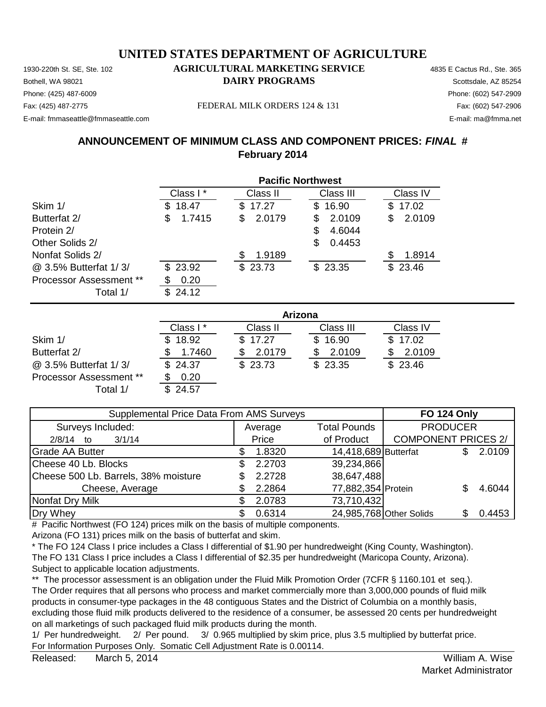Phone: (425) 487-6009 Phone: (602) 547-2909 E-mail: fmmaseattle@fmmaseattle.com E-mail: ma@fmma.net

#### Fax: (425) 487-2775 FEDERAL MILK ORDERS 124 & 131 Fax: (602) 547-2906

### **ANNOUNCEMENT OF MINIMUM CLASS AND COMPONENT PRICES:** *FINAL* **# February 2014**

|                                | <b>Pacific Northwest</b> |             |              |              |  |  |
|--------------------------------|--------------------------|-------------|--------------|--------------|--|--|
|                                | Class I*                 | Class II    | Class III    | Class IV     |  |  |
| Skim 1/                        | 18.47<br>S.              | 17.27<br>S. | 16.90<br>SS. | 17.02<br>\$  |  |  |
| Butterfat 2/                   | \$<br>1.7415             | 2.0179<br>S | 2.0109<br>S  | 2.0109<br>\$ |  |  |
| Protein 2/                     |                          |             | 4.6044<br>S  |              |  |  |
| Other Solids 2/                |                          |             | 0.4453<br>S  |              |  |  |
| Nonfat Solids 2/               |                          | 1.9189      |              | 1.8914       |  |  |
| @ 3.5% Butterfat 1/3/          | \$23.92                  | \$23.73     | \$23.35      | \$23.46      |  |  |
| <b>Processor Assessment **</b> | 0.20                     |             |              |              |  |  |
| Total 1/                       | 24.12<br>\$.             |             |              |              |  |  |

|                                |          | <b>Arizona</b> |           |          |  |  |  |
|--------------------------------|----------|----------------|-----------|----------|--|--|--|
|                                | Class I* | Class II       | Class III | Class IV |  |  |  |
| Skim 1/                        | \$18.92  | \$17.27        | \$16.90   | \$17.02  |  |  |  |
| Butterfat 2/                   | 1.7460   | 2.0179         | 2.0109    | 2.0109   |  |  |  |
| @ 3.5% Butterfat 1/3/          | \$24.37  | \$23.73        | \$23.35   | \$23.46  |  |  |  |
| <b>Processor Assessment **</b> | 0.20     |                |           |          |  |  |  |
| Total 1/                       | } 24.57  |                |           |          |  |  |  |

| Supplemental Price Data From AMS Surveys | <b>FO 124 Only</b> |                      |                            |  |        |
|------------------------------------------|--------------------|----------------------|----------------------------|--|--------|
| Surveys Included:                        | Average            | <b>Total Pounds</b>  | <b>PRODUCER</b>            |  |        |
| 3/1/14<br>$2/8/14$ to                    | Price              | of Product           | <b>COMPONENT PRICES 2/</b> |  |        |
| <b>Grade AA Butter</b>                   | 1.8320             | 14,418,689 Butterfat |                            |  | 2.0109 |
| Cheese 40 Lb. Blocks                     | 2.2703             | 39,234,866           |                            |  |        |
| Cheese 500 Lb. Barrels, 38% moisture     | 2.2728             | 38,647,488           |                            |  |        |
| Cheese, Average                          | 2.2864             | 77,882,354 Protein   |                            |  | 4.6044 |
| Nonfat Dry Milk                          | 2.0783             | 73,710,432           |                            |  |        |
| Dry Whey                                 | 0.6314             |                      | 24,985,768 Other Solids    |  | 0.4453 |

# Pacific Northwest (FO 124) prices milk on the basis of multiple components.

Arizona (FO 131) prices milk on the basis of butterfat and skim.

\* The FO 124 Class I price includes a Class I differential of \$1.90 per hundredweight (King County, Washington). The FO 131 Class I price includes a Class I differential of \$2.35 per hundredweight (Maricopa County, Arizona). Subject to applicable location adjustments.

\*\* The processor assessment is an obligation under the Fluid Milk Promotion Order (7CFR § 1160.101 et seq.). The Order requires that all persons who process and market commercially more than 3,000,000 pounds of fluid milk products in consumer-type packages in the 48 contiguous States and the District of Columbia on a monthly basis, excluding those fluid milk products delivered to the residence of a consumer, be assessed 20 cents per hundredweight on all marketings of such packaged fluid milk products during the month.

1/ Per hundredweight. 2/ Per pound. 3/ 0.965 multiplied by skim price, plus 3.5 multiplied by butterfat price. For Information Purposes Only. Somatic Cell Adjustment Rate is 0.00114.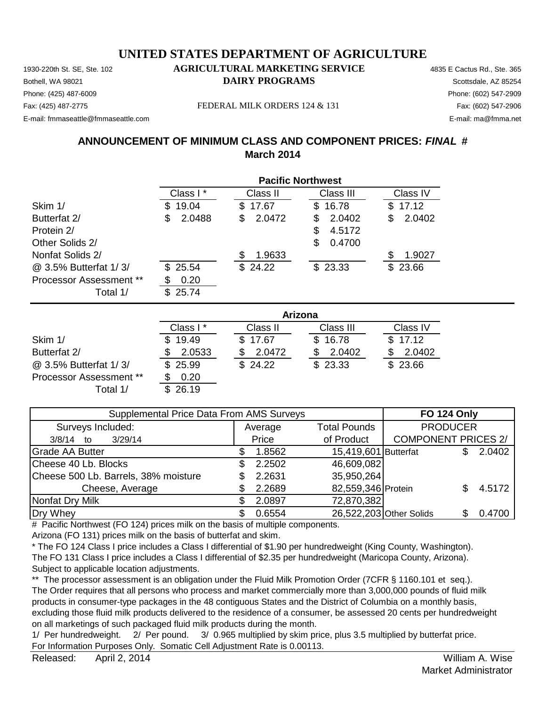Phone: (425) 487-6009 Phone: (602) 547-2909 E-mail: fmmaseattle@fmmaseattle.com E-mail: ma@fmma.net

Fax: (425) 487-2775 FEDERAL MILK ORDERS 124 & 131 Fax: (602) 547-2906

## **ANNOUNCEMENT OF MINIMUM CLASS AND COMPONENT PRICES:** *FINAL* **# March 2014**

|                                | <b>Pacific Northwest</b> |             |              |              |  |  |
|--------------------------------|--------------------------|-------------|--------------|--------------|--|--|
|                                | Class I*                 | Class II    | Class III    | Class IV     |  |  |
| Skim 1/                        | 19.04<br>S.              | 17.67<br>S. | 16.78<br>\$. | 17.12<br>SS. |  |  |
| Butterfat 2/                   | 2.0488<br>S              | 2.0472<br>S | 2.0402<br>S  | 2.0402<br>\$ |  |  |
| Protein 2/                     |                          |             | 4.5172<br>S  |              |  |  |
| Other Solids 2/                |                          |             | 0.4700<br>\$ |              |  |  |
| Nonfat Solids 2/               |                          | 1.9633      |              | 1.9027       |  |  |
| @ 3.5% Butterfat 1/3/          | \$25.54                  | \$24.22     | \$23.33      | \$23.66      |  |  |
| <b>Processor Assessment **</b> | 0.20                     |             |              |              |  |  |
| Total 1/                       | 25.74<br>\$.             |             |              |              |  |  |

|                                |          | <b>Arizona</b> |           |          |  |  |  |
|--------------------------------|----------|----------------|-----------|----------|--|--|--|
|                                | Class I* | Class II       | Class III | Class IV |  |  |  |
| Skim 1/                        | \$19.49  | \$17.67        | \$16.78   | \$17.12  |  |  |  |
| Butterfat 2/                   | 2.0533   | 2.0472         | 2.0402    | 2.0402   |  |  |  |
| @ 3.5% Butterfat 1/3/          | \$25.99  | \$24.22        | \$23.33   | \$23.66  |  |  |  |
| <b>Processor Assessment **</b> | 0.20     |                |           |          |  |  |  |
| Total 1/                       | 26.19    |                |           |          |  |  |  |

| Supplemental Price Data From AMS Surveys | <b>FO 124 Only</b> |                      |                            |  |        |
|------------------------------------------|--------------------|----------------------|----------------------------|--|--------|
| Surveys Included:                        | Average            | <b>Total Pounds</b>  | <b>PRODUCER</b>            |  |        |
| 3/29/14<br>$3/8/14$ to                   | Price              | of Product           | <b>COMPONENT PRICES 2/</b> |  |        |
| <b>Grade AA Butter</b>                   | 1.8562             | 15,419,601 Butterfat |                            |  | 2.0402 |
| Cheese 40 Lb. Blocks                     | 2.2502             | 46,609,082           |                            |  |        |
| Cheese 500 Lb. Barrels, 38% moisture     | 2.2631             | 35,950,264           |                            |  |        |
| Cheese, Average                          | 2.2689             | 82,559,346 Protein   |                            |  | 4.5172 |
| Nonfat Dry Milk                          | 2.0897             | 72,870,382           |                            |  |        |
| Dry Whey                                 | 0.6554             |                      | 26,522,203 Other Solids    |  | 0.4700 |

# Pacific Northwest (FO 124) prices milk on the basis of multiple components.

Arizona (FO 131) prices milk on the basis of butterfat and skim.

\* The FO 124 Class I price includes a Class I differential of \$1.90 per hundredweight (King County, Washington). The FO 131 Class I price includes a Class I differential of \$2.35 per hundredweight (Maricopa County, Arizona). Subject to applicable location adjustments.

\*\* The processor assessment is an obligation under the Fluid Milk Promotion Order (7CFR § 1160.101 et seq.). The Order requires that all persons who process and market commercially more than 3,000,000 pounds of fluid milk products in consumer-type packages in the 48 contiguous States and the District of Columbia on a monthly basis, excluding those fluid milk products delivered to the residence of a consumer, be assessed 20 cents per hundredweight on all marketings of such packaged fluid milk products during the month.

1/ Per hundredweight. 2/ Per pound. 3/ 0.965 multiplied by skim price, plus 3.5 multiplied by butterfat price. For Information Purposes Only. Somatic Cell Adjustment Rate is 0.00113.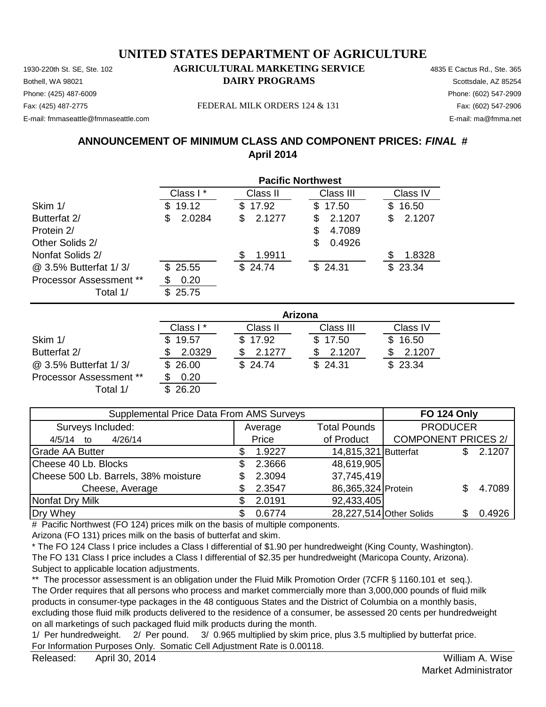Phone: (425) 487-6009 Phone: (602) 547-2909 E-mail: fmmaseattle@fmmaseattle.com E-mail: ma@fmma.net

Fax: (425) 487-2775 FEDERAL MILK ORDERS 124 & 131 Fax: (602) 547-2906

# **ANNOUNCEMENT OF MINIMUM CLASS AND COMPONENT PRICES:** *FINAL* **# April 2014**

|                         | <b>Pacific Northwest</b> |             |              |             |  |  |
|-------------------------|--------------------------|-------------|--------------|-------------|--|--|
|                         | Class I*                 | Class II    | Class III    | Class IV    |  |  |
| Skim 1/                 | 19.12<br>S               | \$17.92     | \$17.50      | 16.50<br>\$ |  |  |
| Butterfat 2/            | 2.0284<br>S              | 2.1277<br>S | 2.1207<br>\$ | 2.1207<br>S |  |  |
| Protein 2/              |                          |             | 4.7089<br>S  |             |  |  |
| Other Solids 2/         |                          |             | 0.4926<br>\$ |             |  |  |
| Nonfat Solids 2/        |                          | 1.9911      |              | 1.8328      |  |  |
| @ 3.5% Butterfat 1/3/   | \$25.55                  | \$24.74     | \$24.31      | \$23.34     |  |  |
| Processor Assessment ** | 0.20                     |             |              |             |  |  |
| Total 1/                | 25.75                    |             |              |             |  |  |

|                                |           | Arizona  |           |          |  |  |  |
|--------------------------------|-----------|----------|-----------|----------|--|--|--|
|                                | Class I * | Class II | Class III | Class IV |  |  |  |
| Skim 1/                        | \$19.57   | \$17.92  | \$17.50   | \$16.50  |  |  |  |
| Butterfat 2/                   | 2.0329    | 2.1277   | 2.1207    | 2.1207   |  |  |  |
| @ 3.5% Butterfat 1/3/          | \$26.00   | \$24.74  | \$24.31   | \$23.34  |  |  |  |
| <b>Processor Assessment **</b> | 0.20      |          |           |          |  |  |  |
| Total 1/                       | 26.20     |          |           |          |  |  |  |

| Supplemental Price Data From AMS Surveys | <b>FO 124 Only</b> |                      |                            |  |        |
|------------------------------------------|--------------------|----------------------|----------------------------|--|--------|
| Surveys Included:                        | Average            | <b>Total Pounds</b>  | <b>PRODUCER</b>            |  |        |
| 4/26/14<br>$4/5/14$ to                   | Price              | of Product           | <b>COMPONENT PRICES 2/</b> |  |        |
| Grade AA Butter                          | 1.9227             | 14,815,321 Butterfat |                            |  | 2.1207 |
| Cheese 40 Lb. Blocks                     | 2.3666             | 48,619,905           |                            |  |        |
| Cheese 500 Lb. Barrels, 38% moisture     | 2.3094             | 37,745,419           |                            |  |        |
| Cheese, Average                          | 2.3547             | 86,365,324 Protein   |                            |  | 4.7089 |
| Nonfat Dry Milk                          | 2.0191             | 92,433,405           |                            |  |        |
| Dry Whey                                 | 0.6774             |                      | 28,227,514 Other Solids    |  | 0.4926 |

# Pacific Northwest (FO 124) prices milk on the basis of multiple components.

Arizona (FO 131) prices milk on the basis of butterfat and skim.

\* The FO 124 Class I price includes a Class I differential of \$1.90 per hundredweight (King County, Washington). The FO 131 Class I price includes a Class I differential of \$2.35 per hundredweight (Maricopa County, Arizona). Subject to applicable location adjustments.

\*\* The processor assessment is an obligation under the Fluid Milk Promotion Order (7CFR § 1160.101 et seq.). The Order requires that all persons who process and market commercially more than 3,000,000 pounds of fluid milk products in consumer-type packages in the 48 contiguous States and the District of Columbia on a monthly basis, excluding those fluid milk products delivered to the residence of a consumer, be assessed 20 cents per hundredweight on all marketings of such packaged fluid milk products during the month.

1/ Per hundredweight. 2/ Per pound. 3/ 0.965 multiplied by skim price, plus 3.5 multiplied by butterfat price. For Information Purposes Only. Somatic Cell Adjustment Rate is 0.00118.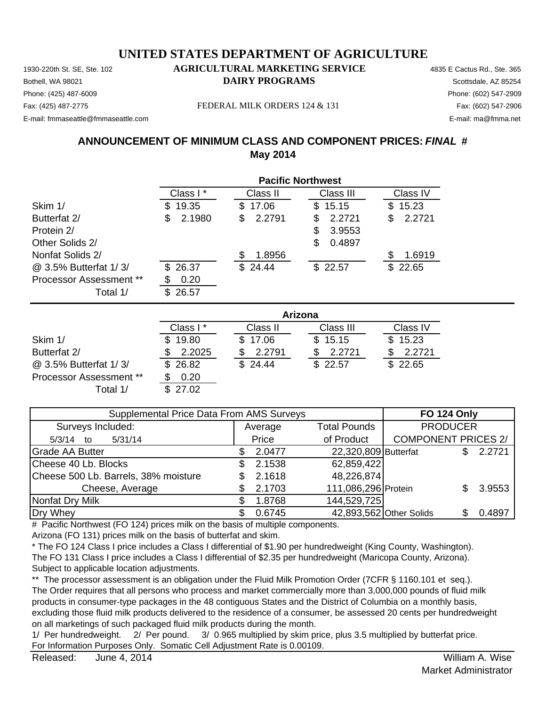Phone: (425) 487-6009 Phone: (602) 547-2909 E-mail: fmmaseattle@fmmaseattle.com E-mail: ma@fmma.net

#### Fax: (425) 487-2775 Fax: (602) 547-2906 FEDERAL MILK ORDERS 124 & 131

#### **ANNOUNCEMENT OF MINIMUM CLASS AND COMPONENT PRICES:** *FINAL* **# May 2014**

|                                | <b>Pacific Northwest</b> |             |              |              |  |  |  |
|--------------------------------|--------------------------|-------------|--------------|--------------|--|--|--|
|                                | Class I*                 | Class II    | Class III    | Class IV     |  |  |  |
| Skim 1/                        | 19.35<br>S               | \$17.06     | 15.15<br>\$. | 15.23<br>\$  |  |  |  |
| Butterfat 2/                   | 2.1980<br>\$             | 2.2791<br>S | 2.2721<br>S  | 2.2721<br>\$ |  |  |  |
| Protein 2/                     |                          |             | 3.9553<br>S  |              |  |  |  |
| Other Solids 2/                |                          |             | 0.4897<br>S. |              |  |  |  |
| Nonfat Solids 2/               |                          | 1.8956      |              | 1.6919<br>S  |  |  |  |
| @ 3.5% Butterfat 1/3/          | 26.37<br>\$.             | \$24.44     | \$22.57      | 22.65<br>\$. |  |  |  |
| <b>Processor Assessment **</b> | 0.20                     |             |              |              |  |  |  |
| Total 1/                       | 26.57                    |             |              |              |  |  |  |

|                                |          | Arizona  |           |          |  |  |  |
|--------------------------------|----------|----------|-----------|----------|--|--|--|
|                                | Class I* | Class II | Class III | Class IV |  |  |  |
| Skim 1/                        | \$19.80  | \$17.06  | \$15.15   | \$15.23  |  |  |  |
| Butterfat 2/                   | 2.2025   | 2.2791   | 2.2721    | 2.2721   |  |  |  |
| @ 3.5% Butterfat 1/3/          | \$26.82  | \$24.44  | \$22.57   | \$22.65  |  |  |  |
| <b>Processor Assessment **</b> | 0.20     |          |           |          |  |  |  |
| Total 1/                       | 27.02    |          |           |          |  |  |  |

| Supplemental Price Data From AMS Surveys | <b>FO 124 Only</b> |                         |                            |  |        |
|------------------------------------------|--------------------|-------------------------|----------------------------|--|--------|
| Surveys Included:                        | Average            | <b>Total Pounds</b>     | <b>PRODUCER</b>            |  |        |
| 5/31/14<br>5/3/14 to                     | Price              | of Product              | <b>COMPONENT PRICES 2/</b> |  |        |
| <b>Grade AA Butter</b>                   | 2.0477             | 22,320,809 Butterfat    |                            |  | 2.2721 |
| Cheese 40 Lb. Blocks                     | 2.1538             | 62,859,422              |                            |  |        |
| Cheese 500 Lb. Barrels, 38% moisture     | 2.1618             | 48,226,874              |                            |  |        |
| Cheese, Average                          | 2.1703             | 111,086,296 Protein     |                            |  | 3.9553 |
| Nonfat Dry Milk                          | 1.8768             | 144,529,725             |                            |  |        |
| Dry Whey                                 | 0.6745             | 42,893,562 Other Solids |                            |  | 0.4897 |

# Pacific Northwest (FO 124) prices milk on the basis of multiple components.

Arizona (FO 131) prices milk on the basis of butterfat and skim.

\* The FO 124 Class I price includes a Class I differential of \$1.90 per hundredweight (King County, Washington). The FO 131 Class I price includes a Class I differential of \$2.35 per hundredweight (Maricopa County, Arizona). Subject to applicable location adjustments.

\*\* The processor assessment is an obligation under the Fluid Milk Promotion Order (7CFR § 1160.101 et seq.). The Order requires that all persons who process and market commercially more than 3,000,000 pounds of fluid milk products in consumer-type packages in the 48 contiguous States and the District of Columbia on a monthly basis, excluding those fluid milk products delivered to the residence of a consumer, be assessed 20 cents per hundredweight on all marketings of such packaged fluid milk products during the month.

1/ Per hundredweight. 2/ Per pound. 3/ 0.965 multiplied by skim price, plus 3.5 multiplied by butterfat price. For Information Purposes Only. Somatic Cell Adjustment Rate is 0.00109.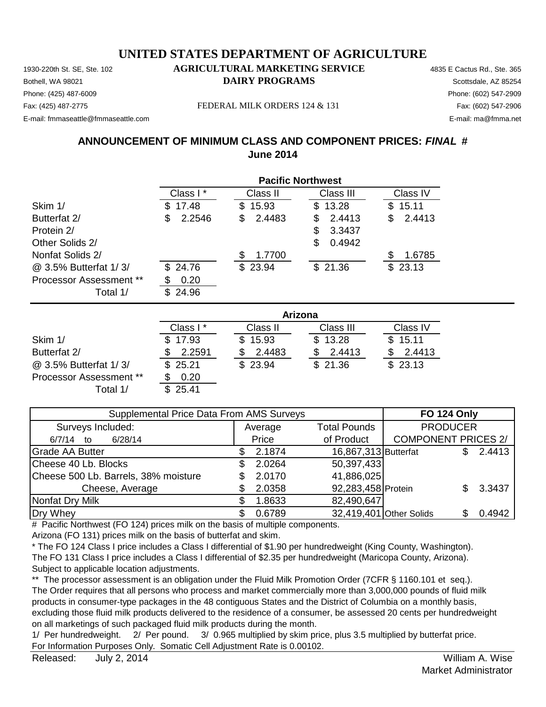Phone: (425) 487-6009 Phone: (602) 547-2909 E-mail: fmmaseattle@fmmaseattle.com E-mail: ma@fmma.net

Fax: (425) 487-2775 FEDERAL MILK ORDERS 124 & 131 Fax: (602) 547-2906

# **ANNOUNCEMENT OF MINIMUM CLASS AND COMPONENT PRICES:** *FINAL* **# June 2014**

|                         |              | <b>Pacific Northwest</b> |             |               |  |  |  |
|-------------------------|--------------|--------------------------|-------------|---------------|--|--|--|
|                         | Class I *    | Class II                 | Class III   | Class IV      |  |  |  |
| Skim 1/                 | 17.48<br>S   | 15.93<br>\$              | 13.28<br>\$ | 15.11<br>\$   |  |  |  |
| Butterfat 2/            | 2.2546<br>S  | 2.4483<br>S              | 2.4413<br>S | 2.4413<br>\$. |  |  |  |
| Protein 2/              |              |                          | 3.3437<br>S |               |  |  |  |
| Other Solids 2/         |              |                          | 0.4942<br>S |               |  |  |  |
| Nonfat Solids 2/        |              | 1.7700                   |             | 1.6785<br>S   |  |  |  |
| @ 3.5% Butterfat 1/3/   | \$24.76      | \$23.94                  | \$21.36     | \$23.13       |  |  |  |
| Processor Assessment ** | 0.20         |                          |             |               |  |  |  |
| Total 1/                | 24.96<br>\$. |                          |             |               |  |  |  |

|                                | Arizona  |          |           |          |  |  |
|--------------------------------|----------|----------|-----------|----------|--|--|
|                                | Class I* | Class II | Class III | Class IV |  |  |
| Skim 1/                        | \$17.93  | \$15.93  | \$13.28   | \$15.11  |  |  |
| Butterfat 2/                   | 2.2591   | 2.4483   | 2.4413    | 2.4413   |  |  |
| @ 3.5% Butterfat 1/3/          | \$25.21  | \$23.94  | \$21.36   | \$23.13  |  |  |
| <b>Processor Assessment **</b> | 0.20     |          |           |          |  |  |
| Total 1/                       | \$25.41  |          |           |          |  |  |

| Supplemental Price Data From AMS Surveys | <b>FO 124 Only</b> |                      |                            |  |          |
|------------------------------------------|--------------------|----------------------|----------------------------|--|----------|
| Surveys Included:                        | Average            | <b>Total Pounds</b>  | <b>PRODUCER</b>            |  |          |
| 6/28/14<br>6/7/14 to                     | Price              | of Product           | <b>COMPONENT PRICES 2/</b> |  |          |
| Grade AA Butter                          | 2.1874             | 16,867,313 Butterfat |                            |  | 2.4413   |
| Cheese 40 Lb. Blocks                     | 2.0264             | 50,397,433           |                            |  |          |
| Cheese 500 Lb. Barrels, 38% moisture     | 2.0170             | 41,886,025           |                            |  |          |
| Cheese, Average                          | 2.0358             | 92,283,458 Protein   |                            |  | \$3.3437 |
| Nonfat Dry Milk                          | 1.8633             | 82,490,647           |                            |  |          |
| Dry Whey                                 | 0.6789             |                      | 32,419,401 Other Solids    |  | 0.4942   |

# Pacific Northwest (FO 124) prices milk on the basis of multiple components.

Arizona (FO 131) prices milk on the basis of butterfat and skim.

\* The FO 124 Class I price includes a Class I differential of \$1.90 per hundredweight (King County, Washington). The FO 131 Class I price includes a Class I differential of \$2.35 per hundredweight (Maricopa County, Arizona). Subject to applicable location adjustments.

\*\* The processor assessment is an obligation under the Fluid Milk Promotion Order (7CFR § 1160.101 et seq.). The Order requires that all persons who process and market commercially more than 3,000,000 pounds of fluid milk products in consumer-type packages in the 48 contiguous States and the District of Columbia on a monthly basis, excluding those fluid milk products delivered to the residence of a consumer, be assessed 20 cents per hundredweight on all marketings of such packaged fluid milk products during the month.

1/ Per hundredweight. 2/ Per pound. 3/ 0.965 multiplied by skim price, plus 3.5 multiplied by butterfat price. For Information Purposes Only. Somatic Cell Adjustment Rate is 0.00102.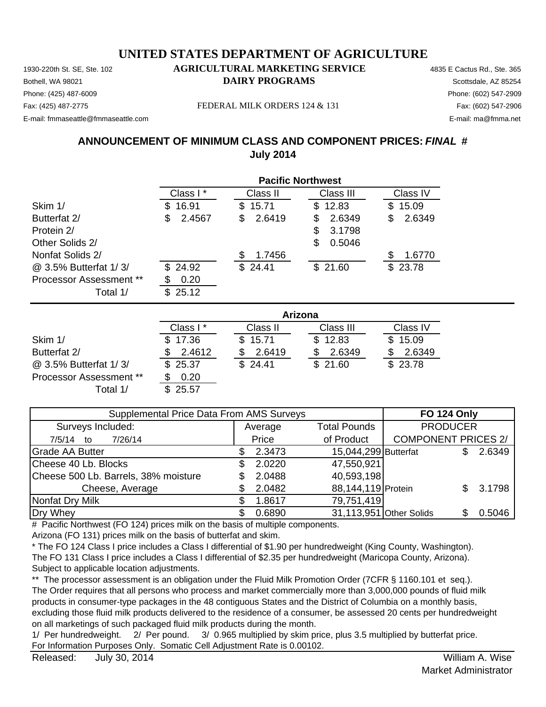Phone: (425) 487-6009 Phone: (602) 547-2909 E-mail: fmmaseattle@fmmaseattle.com E-mail: ma@fmma.net

Fax: (425) 487-2775 Fax: (602) 547-2906 FEDERAL MILK ORDERS 124 & 131

## **ANNOUNCEMENT OF MINIMUM CLASS AND COMPONENT PRICES:** *FINAL* **# July 2014**

|                                | <b>Pacific Northwest</b> |              |              |              |  |  |
|--------------------------------|--------------------------|--------------|--------------|--------------|--|--|
|                                | Class I*                 | Class II     | Class III    | Class IV     |  |  |
| Skim 1/                        | 16.91<br>S               | 15.71<br>\$. | 12.83<br>\$  | 15.09<br>S   |  |  |
| Butterfat 2/                   | 2.4567<br>\$             | 2.6419<br>\$ | 2.6349<br>S  | 2.6349<br>\$ |  |  |
| Protein 2/                     |                          |              | 3.1798<br>S  |              |  |  |
| Other Solids 2/                |                          |              | 0.5046<br>S. |              |  |  |
| Nonfat Solids 2/               |                          | 1.7456       |              | 1.6770       |  |  |
| @ 3.5% Butterfat 1/3/          | \$24.92                  | \$24.41      | \$21.60      | \$23.78      |  |  |
| <b>Processor Assessment **</b> | 0.20<br>ß.               |              |              |              |  |  |
| Total 1/                       | 25.12<br>S               |              |              |              |  |  |

|                                |          | Arizona  |           |          |  |  |  |
|--------------------------------|----------|----------|-----------|----------|--|--|--|
|                                | Class I* | Class II | Class III | Class IV |  |  |  |
| Skim 1/                        | \$17.36  | \$15.71  | \$12.83   | \$15.09  |  |  |  |
| Butterfat 2/                   | 2.4612   | 2.6419   | 2.6349    | 2.6349   |  |  |  |
| @ 3.5% Butterfat 1/3/          | \$25.37  | \$24.41  | \$21.60   | \$23.78  |  |  |  |
| <b>Processor Assessment **</b> | 0.20     |          |           |          |  |  |  |
| Total 1/                       | 25.57    |          |           |          |  |  |  |

| Supplemental Price Data From AMS Surveys | <b>FO 124 Only</b> |                         |                            |  |        |
|------------------------------------------|--------------------|-------------------------|----------------------------|--|--------|
| Surveys Included:                        | Average            | <b>Total Pounds</b>     | <b>PRODUCER</b>            |  |        |
| 7/26/14<br>7/5/14 to                     | Price              | of Product              | <b>COMPONENT PRICES 2/</b> |  |        |
| <b>Grade AA Butter</b>                   | 2.3473             | 15,044,299 Butterfat    |                            |  | 2.6349 |
| Cheese 40 Lb. Blocks                     | 2.0220             | 47,550,921              |                            |  |        |
| Cheese 500 Lb. Barrels, 38% moisture     | 2.0488             | 40,593,198              |                            |  |        |
| Cheese, Average                          | 2.0482             | 88,144,119 Protein      |                            |  | 3.1798 |
| Nonfat Dry Milk                          | 1.8617             | 79,751,419              |                            |  |        |
| Dry Whey                                 | 0.6890             | 31,113,951 Other Solids |                            |  | 0.5046 |

# Pacific Northwest (FO 124) prices milk on the basis of multiple components.

Arizona (FO 131) prices milk on the basis of butterfat and skim.

\* The FO 124 Class I price includes a Class I differential of \$1.90 per hundredweight (King County, Washington). The FO 131 Class I price includes a Class I differential of \$2.35 per hundredweight (Maricopa County, Arizona). Subject to applicable location adjustments.

\*\* The processor assessment is an obligation under the Fluid Milk Promotion Order (7CFR § 1160.101 et seq.). The Order requires that all persons who process and market commercially more than 3,000,000 pounds of fluid milk products in consumer-type packages in the 48 contiguous States and the District of Columbia on a monthly basis, excluding those fluid milk products delivered to the residence of a consumer, be assessed 20 cents per hundredweight on all marketings of such packaged fluid milk products during the month.

1/ Per hundredweight. 2/ Per pound. 3/ 0.965 multiplied by skim price, plus 3.5 multiplied by butterfat price. For Information Purposes Only. Somatic Cell Adjustment Rate is 0.00102.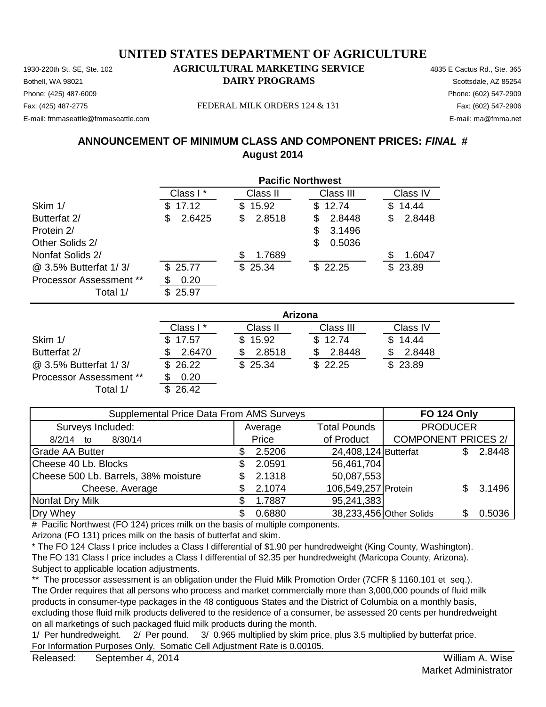Phone: (425) 487-6009 Phone: (602) 547-2909 E-mail: fmmaseattle@fmmaseattle.com E-mail: ma@fmma.net

Fax: (425) 487-2775 FEDERAL MILK ORDERS 124 & 131 Fax: (602) 547-2906

# **ANNOUNCEMENT OF MINIMUM CLASS AND COMPONENT PRICES:** *FINAL* **# August 2014**

|                                | <b>Pacific Northwest</b> |              |              |              |  |  |
|--------------------------------|--------------------------|--------------|--------------|--------------|--|--|
|                                | Class I*                 | Class II     | Class III    | Class IV     |  |  |
| Skim 1/                        | 17.12<br>S.              | 15.92<br>S.  | \$12.74      | 14.44<br>\$. |  |  |
| Butterfat 2/                   | 2.6425<br>S              | 2.8518<br>\$ | 2.8448<br>S  | 2.8448<br>\$ |  |  |
| Protein 2/                     |                          |              | 3.1496<br>S  |              |  |  |
| Other Solids 2/                |                          |              | 0.5036<br>\$ |              |  |  |
| Nonfat Solids 2/               |                          | 1.7689       |              | 1.6047       |  |  |
| @ 3.5% Butterfat 1/3/          | \$25.77                  | \$25.34      | \$22.25      | \$23.89      |  |  |
| <b>Processor Assessment **</b> | 0.20                     |              |              |              |  |  |
| Total 1/                       | 25.97<br>\$.             |              |              |              |  |  |

|                                | <b>Arizona</b> |          |           |          |  |  |
|--------------------------------|----------------|----------|-----------|----------|--|--|
|                                | Class I*       | Class II | Class III | Class IV |  |  |
| Skim 1/                        | \$17.57        | \$15.92  | \$12.74   | \$14.44  |  |  |
| Butterfat 2/                   | 2.6470         | 2.8518   | 2.8448    | 2.8448   |  |  |
| @ 3.5% Butterfat 1/3/          | \$26.22        | \$25.34  | \$22.25   | \$23.89  |  |  |
| <b>Processor Assessment **</b> | 0.20           |          |           |          |  |  |
| Total 1/                       | \$26.42        |          |           |          |  |  |

| Supplemental Price Data From AMS Surveys | <b>FO 124 Only</b> |                      |                            |  |        |
|------------------------------------------|--------------------|----------------------|----------------------------|--|--------|
| Surveys Included:                        | Average            | <b>Total Pounds</b>  | <b>PRODUCER</b>            |  |        |
| 8/30/14<br>$8/2/14$ to                   | Price              | of Product           | <b>COMPONENT PRICES 2/</b> |  |        |
| <b>Grade AA Butter</b>                   | 2.5206             | 24,408,124 Butterfat |                            |  | 2.8448 |
| Cheese 40 Lb. Blocks                     | 2.0591             | 56,461,704           |                            |  |        |
| Cheese 500 Lb. Barrels, 38% moisture     | 2.1318             | 50,087,553           |                            |  |        |
| Cheese, Average                          | 2.1074             | 106,549,257 Protein  |                            |  | 3.1496 |
| Nonfat Dry Milk                          | 1.7887             | 95,241,383           |                            |  |        |
| Dry Whey                                 | 0.6880             |                      | 38,233,456 Other Solids    |  | 0.5036 |

# Pacific Northwest (FO 124) prices milk on the basis of multiple components.

Arizona (FO 131) prices milk on the basis of butterfat and skim.

\* The FO 124 Class I price includes a Class I differential of \$1.90 per hundredweight (King County, Washington). The FO 131 Class I price includes a Class I differential of \$2.35 per hundredweight (Maricopa County, Arizona). Subject to applicable location adjustments.

\*\* The processor assessment is an obligation under the Fluid Milk Promotion Order (7CFR § 1160.101 et seq.). The Order requires that all persons who process and market commercially more than 3,000,000 pounds of fluid milk products in consumer-type packages in the 48 contiguous States and the District of Columbia on a monthly basis, excluding those fluid milk products delivered to the residence of a consumer, be assessed 20 cents per hundredweight on all marketings of such packaged fluid milk products during the month.

1/ Per hundredweight. 2/ Per pound. 3/ 0.965 multiplied by skim price, plus 3.5 multiplied by butterfat price. For Information Purposes Only. Somatic Cell Adjustment Rate is 0.00105.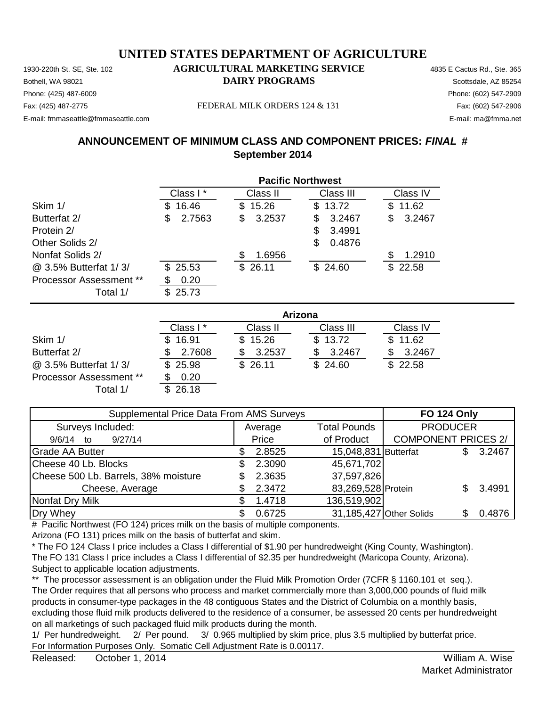Phone: (425) 487-6009 Phone: (602) 547-2909 E-mail: fmmaseattle@fmmaseattle.com E-mail: ma@fmma.net

Fax: (425) 487-2775 FEDERAL MILK ORDERS 124 & 131 Fax: (602) 547-2906

## **ANNOUNCEMENT OF MINIMUM CLASS AND COMPONENT PRICES:** *FINAL* **# September 2014**

|                                | <b>Pacific Northwest</b> |              |              |              |  |  |
|--------------------------------|--------------------------|--------------|--------------|--------------|--|--|
|                                | Class I*                 | Class II     | Class III    | Class IV     |  |  |
| Skim 1/                        | 16.46<br>S.              | 15.26<br>\$. | 13.72<br>SS. | 11.62<br>S.  |  |  |
| Butterfat 2/                   | 2.7563<br>S              | 3.2537<br>\$ | 3.2467<br>S  | 3.2467<br>\$ |  |  |
| Protein 2/                     |                          |              | 3.4991<br>S  |              |  |  |
| Other Solids 2/                |                          |              | 0.4876<br>S  |              |  |  |
| Nonfat Solids 2/               |                          | 1.6956       |              | 1.2910<br>S  |  |  |
| @ 3.5% Butterfat 1/3/          | \$25.53                  | 26.11<br>S.  | \$24.60      | \$22.58      |  |  |
| <b>Processor Assessment **</b> | 0.20                     |              |              |              |  |  |
| Total 1/                       | 25.73<br>\$.             |              |              |              |  |  |

|                         | Arizona   |          |           |          |  |  |
|-------------------------|-----------|----------|-----------|----------|--|--|
|                         | Class I * | Class II | Class III | Class IV |  |  |
| Skim 1/                 | \$16.91   | \$15.26  | \$13.72   | \$11.62  |  |  |
| Butterfat 2/            | 2.7608    | 3.2537   | 3.2467    | 3.2467   |  |  |
| @ 3.5% Butterfat 1/3/   | \$25.98   | \$26.11  | \$24.60   | \$22.58  |  |  |
| Processor Assessment ** | 0.20      |          |           |          |  |  |
| Total 1/                | 26.18     |          |           |          |  |  |

| Supplemental Price Data From AMS Surveys | <b>FO 124 Only</b> |                         |                            |  |        |
|------------------------------------------|--------------------|-------------------------|----------------------------|--|--------|
| Surveys Included:                        | Average            | <b>Total Pounds</b>     | <b>PRODUCER</b>            |  |        |
| 9/27/14<br>9/6/14 to                     | Price              | of Product              | <b>COMPONENT PRICES 2/</b> |  |        |
| <b>Grade AA Butter</b>                   | 2.8525             | 15,048,831 Butterfat    |                            |  | 3.2467 |
| Cheese 40 Lb. Blocks                     | 2.3090             | 45,671,702              |                            |  |        |
| Cheese 500 Lb. Barrels, 38% moisture     | 2.3635             | 37,597,826              |                            |  |        |
| Cheese, Average                          | 2.3472             | 83,269,528 Protein      |                            |  | 3.4991 |
| Nonfat Dry Milk                          | 1.4718             | 136,519,902             |                            |  |        |
| Dry Whey                                 | 0.6725             | 31,185,427 Other Solids |                            |  | 0.4876 |

# Pacific Northwest (FO 124) prices milk on the basis of multiple components.

Arizona (FO 131) prices milk on the basis of butterfat and skim.

\* The FO 124 Class I price includes a Class I differential of \$1.90 per hundredweight (King County, Washington). The FO 131 Class I price includes a Class I differential of \$2.35 per hundredweight (Maricopa County, Arizona). Subject to applicable location adjustments.

\*\* The processor assessment is an obligation under the Fluid Milk Promotion Order (7CFR § 1160.101 et seq.). The Order requires that all persons who process and market commercially more than 3,000,000 pounds of fluid milk products in consumer-type packages in the 48 contiguous States and the District of Columbia on a monthly basis, excluding those fluid milk products delivered to the residence of a consumer, be assessed 20 cents per hundredweight on all marketings of such packaged fluid milk products during the month.

1/ Per hundredweight. 2/ Per pound. 3/ 0.965 multiplied by skim price, plus 3.5 multiplied by butterfat price. For Information Purposes Only. Somatic Cell Adjustment Rate is 0.00117.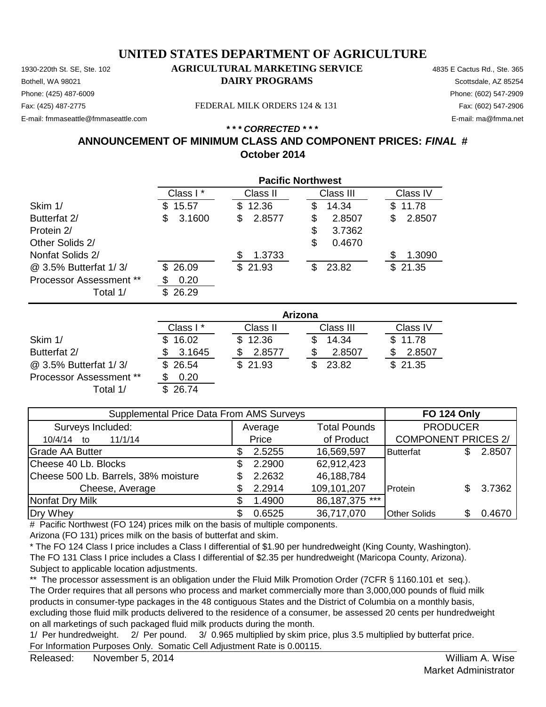#### 1930-220th St. SE, Ste. 102 **AGRICULTURAL MARKETING SERVICE** 4835 E Cactus Rd., Ste. 365 **UNITED STATES DEPARTMENT OF AGRICULTURE**

**Bothell, WA 98021 DAIRY PROGRAMS** Scottsdale, AZ 85254 E-mail: fmmaseattle@fmmaseattle.com E-mail: ma@fmma.net

## Phone: (425) 487-6009 Phone: (602) 547-2909

Fax: (425) 487-2775 FEDERAL MILK ORDERS 124 & 131

#### **ANNOUNCEMENT OF MINIMUM CLASS AND COMPONENT PRICES:** *FINAL* **# October 2014** *\* \* \* CORRECTED \* \* \**

|                         | <b>Pacific Northwest</b> |             |              |              |  |  |
|-------------------------|--------------------------|-------------|--------------|--------------|--|--|
|                         | Class I*                 | Class II    | Class III    | Class IV     |  |  |
| Skim 1/                 | 15.57<br>\$.             | \$12.36     | 14.34<br>\$  | 11.78<br>\$. |  |  |
| Butterfat 2/            | 3.1600<br>S              | 2.8577<br>S | \$<br>2.8507 | 2.8507<br>\$ |  |  |
| Protein 2/              |                          |             | \$<br>3.7362 |              |  |  |
| Other Solids 2/         |                          |             | \$<br>0.4670 |              |  |  |
| Nonfat Solids 2/        |                          | 1.3733      |              | 1.3090       |  |  |
| @ 3.5% Butterfat 1/3/   | \$26.09                  | \$21.93     | 23.82<br>\$  | \$21.35      |  |  |
| Processor Assessment ** | 0.20<br>S                |             |              |              |  |  |
| Total 1/                | 26.29<br>\$.             |             |              |              |  |  |

|                         | Arizona  |          |           |          |  |  |
|-------------------------|----------|----------|-----------|----------|--|--|
|                         | Class I* | Class II | Class III | Class IV |  |  |
| Skim 1/                 | 16.02    | \$12.36  | 14.34     | \$11.78  |  |  |
| Butterfat 2/            | 3.1645   | 2.8577   | 2.8507    | 2.8507   |  |  |
| @ 3.5% Butterfat 1/3/   | \$26.54  | \$21.93  | 23.82     | \$21.35  |  |  |
| Processor Assessment ** | 0.20     |          |           |          |  |  |
| Total 1/                | 26.74    |          |           |          |  |  |

| Supplemental Price Data From AMS Surveys |     |         |                     | <b>FO 124 Only</b>         |        |
|------------------------------------------|-----|---------|---------------------|----------------------------|--------|
| Surveys Included:                        |     | Average | <b>Total Pounds</b> | <b>PRODUCER</b>            |        |
| 11/1/14<br>10/4/14<br>to                 |     | Price   | of Product          | <b>COMPONENT PRICES 2/</b> |        |
| Grade AA Butter                          | S   | 2.5255  | 16,569,597          | <b>Butterfat</b>           | 2.8507 |
| Cheese 40 Lb. Blocks                     | \$. | 2.2900  | 62,912,423          |                            |        |
| Cheese 500 Lb. Barrels, 38% moisture     | S.  | 2.2632  | 46,188,784          |                            |        |
| Cheese, Average                          | \$. | 2.2914  | 109,101,207         | Protein                    | 3.7362 |
| Nonfat Dry Milk                          | S.  | 1.4900  | 86,187,375 ***      |                            |        |
| Dry Whey                                 | \$. | 0.6525  | 36,717,070          | <b>Other Solids</b>        | 0.4670 |

# Pacific Northwest (FO 124) prices milk on the basis of multiple components.

Arizona (FO 131) prices milk on the basis of butterfat and skim.

\* The FO 124 Class I price includes a Class I differential of \$1.90 per hundredweight (King County, Washington).

The FO 131 Class I price includes a Class I differential of \$2.35 per hundredweight (Maricopa County, Arizona). Subject to applicable location adjustments.

\*\* The processor assessment is an obligation under the Fluid Milk Promotion Order (7CFR § 1160.101 et seq.). The Order requires that all persons who process and market commercially more than 3,000,000 pounds of fluid milk products in consumer-type packages in the 48 contiguous States and the District of Columbia on a monthly basis, excluding those fluid milk products delivered to the residence of a consumer, be assessed 20 cents per hundredweight on all marketings of such packaged fluid milk products during the month.

1/ Per hundredweight. 2/ Per pound. 3/ 0.965 multiplied by skim price, plus 3.5 multiplied by butterfat price. For Information Purposes Only. Somatic Cell Adjustment Rate is 0.00115.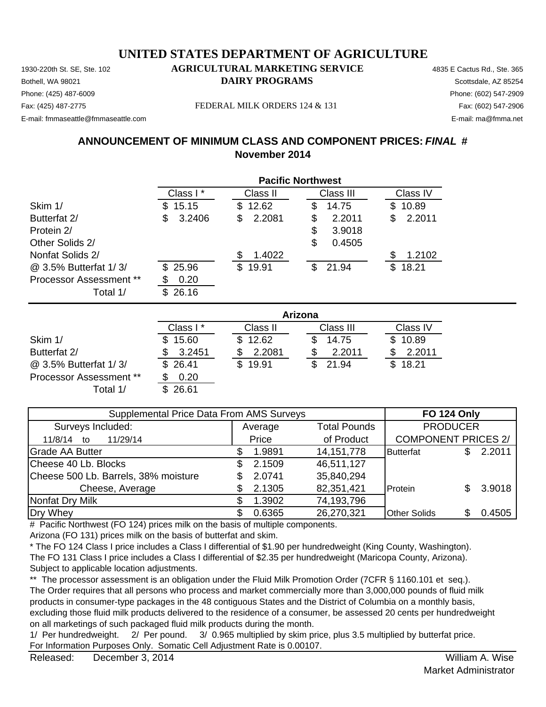Phone: (425) 487-6009 Phone: (602) 547-2909 E-mail: fmmaseattle@fmmaseattle.com E-mail: ma@fmma.net

Fax: (425) 487-2775 FEDERAL MILK ORDERS 124 & 131 Fax: (602) 547-2906

### **ANNOUNCEMENT OF MINIMUM CLASS AND COMPONENT PRICES:** *FINAL* **# November 2014**

|                                | <b>Pacific Northwest</b> |              |              |              |  |  |
|--------------------------------|--------------------------|--------------|--------------|--------------|--|--|
|                                | Class I*                 | Class II     | Class III    | Class IV     |  |  |
| Skim 1/                        | 15.15<br>S.              | 12.62<br>S.  | 14.75<br>S   | 10.89<br>S.  |  |  |
| Butterfat 2/                   | 3.2406<br>\$             | 2.2081<br>S  | 2.2011<br>\$ | 2.2011<br>S  |  |  |
| Protein 2/                     |                          |              | S<br>3.9018  |              |  |  |
| Other Solids 2/                |                          |              | S<br>0.4505  |              |  |  |
| Nonfat Solids 2/               |                          | 1.4022<br>S  |              | 1.2102       |  |  |
| @ 3.5% Butterfat 1/3/          | \$25.96                  | 19.91<br>\$. | 21.94<br>\$. | 18.21<br>\$. |  |  |
| <b>Processor Assessment **</b> | 0.20                     |              |              |              |  |  |
| Total 1/                       | \$<br>26.16              |              |              |              |  |  |

|                                | Arizona   |          |           |          |  |  |
|--------------------------------|-----------|----------|-----------|----------|--|--|
|                                | Class I * | Class II | Class III | Class IV |  |  |
| Skim 1/                        | 15.60     | \$12.62  | 14.75     | \$10.89  |  |  |
| Butterfat 2/                   | 3.2451    | 2.2081   | 2.2011    | 2.2011   |  |  |
| @ 3.5% Butterfat 1/3/          | \$26.41   | \$19.91  | 21.94     | \$18.21  |  |  |
| <b>Processor Assessment **</b> | 0.20      |          |           |          |  |  |
| Total 1/                       | 26.61     |          |           |          |  |  |

| Supplemental Price Data From AMS Surveys |     |         |                     |                            | <b>FO 124 Only</b> |        |
|------------------------------------------|-----|---------|---------------------|----------------------------|--------------------|--------|
| Surveys Included:                        |     | Average | <b>Total Pounds</b> |                            | <b>PRODUCER</b>    |        |
| 11/29/14<br>11/8/14<br>to                |     | Price   | of Product          | <b>COMPONENT PRICES 2/</b> |                    |        |
| <b>Grade AA Butter</b>                   | S   | 1.9891  | 14, 151, 778        | <b>Butterfat</b>           |                    | 2.2011 |
| Cheese 40 Lb. Blocks                     | \$. | 2.1509  | 46,511,127          |                            |                    |        |
| Cheese 500 Lb. Barrels, 38% moisture     | \$. | 2.0741  | 35,840,294          |                            |                    |        |
| Cheese, Average                          | \$. | 2.1305  | 82,351,421          | Protein                    | \$                 | 3.9018 |
| Nonfat Dry Milk                          | \$. | 1.3902  | 74,193,796          |                            |                    |        |
| Dry Whey                                 | \$. | 0.6365  | 26,270,321          | <b>Other Solids</b>        | \$                 | 0.4505 |

# Pacific Northwest (FO 124) prices milk on the basis of multiple components.

Arizona (FO 131) prices milk on the basis of butterfat and skim.

\* The FO 124 Class I price includes a Class I differential of \$1.90 per hundredweight (King County, Washington). The FO 131 Class I price includes a Class I differential of \$2.35 per hundredweight (Maricopa County, Arizona). Subject to applicable location adjustments.

\*\* The processor assessment is an obligation under the Fluid Milk Promotion Order (7CFR § 1160.101 et seq.). The Order requires that all persons who process and market commercially more than 3,000,000 pounds of fluid milk products in consumer-type packages in the 48 contiguous States and the District of Columbia on a monthly basis, excluding those fluid milk products delivered to the residence of a consumer, be assessed 20 cents per hundredweight on all marketings of such packaged fluid milk products during the month.

1/ Per hundredweight. 2/ Per pound. 3/ 0.965 multiplied by skim price, plus 3.5 multiplied by butterfat price. For Information Purposes Only. Somatic Cell Adjustment Rate is 0.00107.